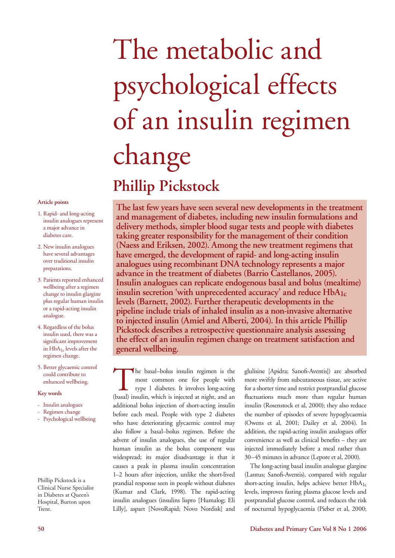# The metabolic and psychological effects of an insulin regimen change **Phillip Pickstock**

#### **Article points**

- 1. Rapid- and long-acting insulin analogues represent a major advance in diabetes care.
- 2. New insulin analogues have several advantages over traditional insulin preparations.
- 3. Patients reported enhanced wellbeing after a regimen change to insulin glargine plus regular human insulin or a rapid-acting insulin analogue.
- 4. Regardless of the bolus insulin used, there was a significant improvement in  $HbA_{1c}$  levels after the regimen change.
- 5. Better glycaemic control could contribute to enhanced wellbeing.

#### **Key words**

- Insulin analogues
- Regimen change
- Psychological wellbeing

Phillip Pickstock is a Clinical Nurse Specialist in Diabetes at Queen's Hospital, Burton upon Trent.

**The last few years have seen several new developments in the treatment and management of diabetes, including new insulin formulations and delivery methods, simpler blood sugar tests and people with diabetes taking greater responsibility for the management of their condition (Naess and Eriksen, 2002). Among the new treatment regimens that have emerged, the development of rapid- and long-acting insulin analogues using recombinant DNA technology represents a major advance in the treatment of diabetes (Barrio Castellanos, 2005). Insulin analogues can replicate endogenous basal and bolus (mealtime) insulin secretion 'with unprecedented accuracy' and reduce HbA1c levels (Barnett, 2002). Further therapeutic developments in the pipeline include trials of inhaled insulin as a non-invasive alternative to injected insulin (Amiel and Alberti, 2004). In this article Phillip Pickstock describes a retrospective questionnaire analysis assessing the effect of an insulin regimen change on treatment satisfaction and general wellbeing.**

The basal–bolus insulin regimen is the<br>most common one for people with<br>type 1 diabetes. It involves long-acting<br>(basal) insulin, which is injected at night, and an most common one for people with type 1 diabetes. It involves long-acting (basal) insulin, which is injected at night, and an additional bolus injection of short-acting insulin before each meal. People with type 2 diabetes who have deteriorating glycaemic control may also follow a basal–bolus regimen. Before the advent of insulin analogues, the use of regular human insulin as the bolus component was widespread; its major disadvantage is that it causes a peak in plasma insulin concentration 1–2 hours after injection, unlike the short-lived prandial response seen in people without diabetes (Kumar and Clark, 1998). The rapid-acting insulin analogues (insulins lispro [Humalog; Eli Lilly], aspart [NovoRapid; Novo Nordisk] and

glulisine [Apidra; Sanofi-Aventis]) are absorbed more swiftly from subcutaneous tissue, are active for a shorter time and restrict postprandial glucose fluctuations much more than regular human insulin (Rosenstock et al, 2000); they also reduce the number of episodes of severe hypoglycaemia (Owens et al, 2001; Dailey et al, 2004). In addition, the rapid-acting insulin analogues offer convenience as well as clinical benefits – they are injected immediately before a meal rather than 30–45 minutes in advance (Lepore et al, 2000).

The long-acting basal insulin analogue glargine (Lantus; Sanofi-Aventis), compared with regular short-acting insulin, helps achieve better  $HbA_{1c}$ levels, improves fasting plasma glucose levels and postprandial glucose control, and reduces the risk of nocturnal hypoglycaemia (Pieber et al, 2000;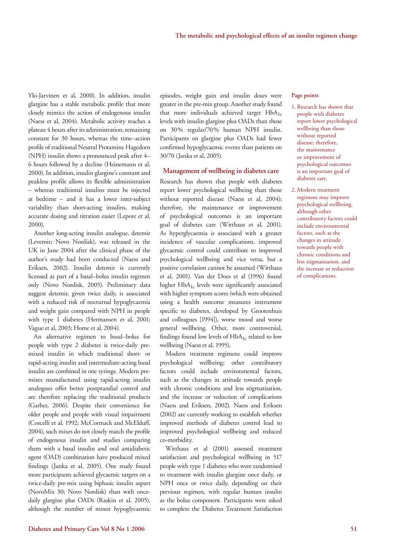Yki-Jarvinen et al, 2000). In addition, insulin glargine has a stable metabolic profile that more closely mimics the action of endogenous insulin (Naess et al, 2004). Metabolic activity reaches a plateau 4 hours after its administration, remaining constant for 30 hours, whereas the time–action profile of traditional Neutral Protamine Hagedorn (NPH) insulin shows a pronounced peak after 4– 6 hours followed by a decline (Heinemann et al, 2000). In addition, insulin glargine's constant and peakless profile allows its flexible administration – whereas traditional insulins must be injected at bedtime – and it has a lower inter-subject variability than short-acting insulins, making accurate dosing and titration easier (Lepore et al, 2000).

Another long-acting insulin analogue, detemir (Levemir; Novo Nordisk), was released in the UK in June 2004 after the clinical phase of the author's study had been conducted (Naess and Eriksen, 2002). Insulin detemir is currently licensed as part of a basal–bolus insulin regimen only (Novo Nordisk, 2005). Preliminary data suggest detemir, given twice daily, is associated with a reduced risk of nocturnal hypoglycaemia and weight gain compared with NPH in people with type 1 diabetes (Hermansen et al, 2001; Vague et al, 2003; Home et al, 2004).

An alternative regimen to basal–bolus for people with type 2 diabetes is twice-daily premixed insulin in which traditional short- or rapid-acting insulin and intermediate-acting basal insulin are combined in one syringe. Modern premixes manufactured using rapid-acting insulin analogues offer better postprandial control and are therefore replacing the traditional products (Garber, 2006). Despite their convenience for older people and people with visual impairment (Coscelli et al, 1992; McCormack and McElduff, 2004), such mixes do not closely match the profile of endogenous insulin and studies comparing them with a basal insulin and oral antidiabetic agent (OAD) combination have produced mixed findings (Janka et al, 2005). One study found more participants achieved glycaemic targets on a twice-daily pre-mix using biphasic insulin aspart (NovoMix 30; Novo Nordisk) than with oncedaily glargine plus OADs (Raskin et al, 2005), although the number of minor hypoglycaemic episodes, weight gain and insulin doses were greater in the pre-mix group. Another study found that more individuals achieved target  $HbA_{1c}$ levels with insulin glargine plus OADs than those on 30% regular/70% human NPH insulin. Participants on glargine plus OADs had fewer confirmed hypoglycaemic events than patients on 30/70 (Janka et al, 2005).

#### **Management of wellbeing in diabetes care**

Research has shown that people with diabetes report lower psychological wellbeing than those without reported disease (Naess et al, 2004); therefore, the maintenance or improvement of psychological outcomes is an important goal of diabetes care (Witthaus et al, 2001). As hyperglycaemia is associated with a greater incidence of vascular complications, improved glycaemic control could contribute to improved psychological wellbeing and vice versa, but a positive correlation cannot be assumed (Witthaus et al, 2001). Van der Does et al (1996) found higher HbA<sub>1c</sub> levels were significantly associated with higher symptom scores (which were obtained using a health outcome measures instrument specific to diabetes, developed by Grootenhuis and colleagues [1994]), worse mood and worse general wellbeing. Other, more controversial, findings found low levels of  $HbA_{1c}$  related to low wellbeing (Naess et al, 1995).

Modern treatment regimens could improve psychological wellbeing; other contributory factors could include environmental factors, such as the changes in attitude towards people with chronic conditions and less stigmatisation, and the increase or reduction of complications (Naess and Eriksen, 2002). Naess and Eriksen (2002) are currently working to establish whether improved methods of diabetes control lead to improved psychological wellbeing and reduced co-morbidity.

Witthaus et al (2001) assessed treatment satisfaction and psychological wellbeing in 517 people with type 1 diabetes who were randomised to treatment with insulin glargine once daily, or NPH once or twice daily, depending on their previous regimen, with regular human insulin as the bolus component. Participants were asked to complete the Diabetes Treatment Satisfaction

#### **Page points**

- 1. Research has shown that people with diabetes report lower psychological wellbeing than those without reported disease; therefore, the maintenance or improvement of psychological outcomes is an important goal of diabetes care.
- 2. Modern treatment regimens may improve psychological wellbeing, although other contributory factors could include environmental factors, such as the changes in attitude towards people with chronic conditions and less stigmatisation, and the increase or reduction of complications.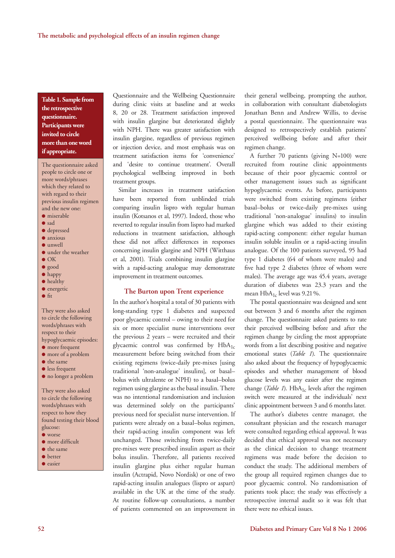**Table 1. Sample from the retrospective questionnaire. Participants were invited to circle more than one word if appropriate.**

The questionnaire asked people to circle one or more words/phrases which they related to with regard to their previous insulin regimen and the new one:

- $\bullet$  miserable
- l sad
- $\bullet$  depressed
- $\bullet$  anxious
- $\bullet$  unwell
- $\bullet$  under the weather
- $\bullet$  OK
- l good
- $\bullet$  happy
- $\bullet$  healthy **·** energetic
- $\bullet$  fit
- 

They were also asked to circle the following words/phrases with respect to their hypoglycaemic episodes:

- $\bullet$  more frequent
- $\bullet$  more of a problem
- $\bullet$  the same
- $\bullet$  less frequent
- $\bullet$  no longer a problem

They were also asked to circle the following words/phrases with respect to how they found testing their blood glucose:  $\bullet$  worse

- $\bullet$  more difficult
- $\bullet$  the same
- $\bullet$  better
- **·** easier

Questionnaire and the Wellbeing Questionnaire during clinic visits at baseline and at weeks 8, 20 or 28. Treatment satisfaction improved with insulin glargine but deteriorated slightly with NPH. There was greater satisfaction with insulin glargine, regardless of previous regimen or injection device, and most emphasis was on treatment satisfaction items for 'convenience' and 'desire to continue treatment'. Overall psychological wellbeing improved in both treatment groups.

Similar increases in treatment satisfaction have been reported from unblinded trials comparing insulin lispro with regular human insulin (Kotsanos et al, 1997). Indeed, those who reverted to regular insulin from lispro had marked reductions in treatment satisfaction, although these did not affect differences in responses concerning insulin glargine and NPH (Witthaus et al, 2001). Trials combining insulin glargine with a rapid-acting analogue may demonstrate improvement in treatment outcomes.

#### **The Burton upon Trent experience**

In the author's hospital a total of 30 patients with long-standing type 1 diabetes and suspected poor glycaemic control – owing to their need for six or more specialist nurse interventions over the previous 2 years – were recruited and their glycaemic control was confirmed by  $HbA_{1c}$ measurement before being switched from their existing regimens (twice-daily pre-mixes [using traditional 'non-analogue' insulins], or basal– bolus with ultralente or NPH) to a basal–bolus regimen using glargine as the basal insulin. There was no intentional randomisation and inclusion was determined solely on the participants' previous need for specialist nurse intervention. If patients were already on a basal–bolus regimen, their rapid-acting insulin component was left unchanged. Those switching from twice-daily pre-mixes were prescribed insulin aspart as their bolus insulin. Therefore, all patients received insulin glargine plus either regular human insulin (Actrapid, Novo Nordisk) or one of two rapid-acting insulin analogues (lispro or aspart) available in the UK at the time of the study. At routine follow-up consultations, a number of patients commented on an improvement in

their general wellbeing, prompting the author, in collaboration with consultant diabetologists Jonathan Benn and Andrew Willis, to devise a postal questionnaire. The questionnaire was designed to retrospectively establish patients' perceived wellbeing before and after their regimen change.

A further 70 patients (giving N=100) were recruited from routine clinic appointments because of their poor glycaemic control or other management issues such as significant hypoglycaemic events. As before, participants were switched from existing regimens (either basal–bolus or twice-daily pre-mixes using traditional 'non-analogue' insulins) to insulin glargine which was added to their existing rapid-acting component: either regular human insulin soluble insulin or a rapid-acting insulin analogue. Of the 100 patients surveyed, 95 had type 1 diabetes (64 of whom were males) and five had type 2 diabetes (three of whom were males). The average age was 45.4 years, average duration of diabetes was 23.3 years and the mean  $HbA_{1c}$  level was 9.21%.

The postal questionnaire was designed and sent out between 3 and 6 months after the regimen change. The questionnaire asked patients to rate their perceived wellbeing before and after the regimen change by circling the most appropriate words from a list describing positive and negative emotional states (*Table 1*). The questionnaire also asked about the frequency of hypoglycaemic episodes and whether management of blood glucose levels was any easier after the regimen change (*Table 1*).  $HbA_{1c}$  levels after the regimen switch were measured at the individuals' next clinic appointment between 3 and 6 months later.

The author's diabetes centre manager, the consultant physician and the research manager were consulted regarding ethical approval. It was decided that ethical approval was not necessary as the clinical decision to change treatment regimens was made before the decision to conduct the study. The additional members of the group all required regimen changes due to poor glycaemic control. No randomisation of patients took place; the study was effectively a retrospective internal audit so it was felt that there were no ethical issues.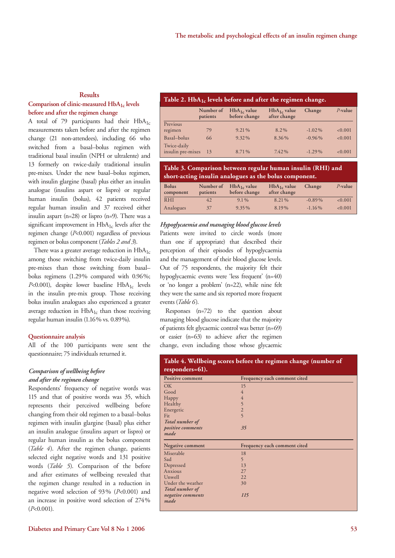#### **Results**

# **Comparison of clinic-measured HbA1c levels before and after the regimen change**

A total of 79 participants had their  $HbA_{1c}$ measurements taken before and after the regimen change (21 non-attendees), including 66 who switched from a basal–bolus regimen with traditional basal insulin (NPH or ultralente) and 13 formerly on twice-daily traditional insulin pre-mixes. Under the new basal–bolus regimen, with insulin glargine (basal) plus either an insulin analogue (insulins aspart or lispro) or regular human insulin (bolus), 42 patients received regular human insulin and 37 received either insulin aspart (n=28) or lispro (n=9). There was a significant improvement in  $HbA_{1c}$  levels after the regimen change (*P*<0.001) regardless of previous regimen or bolus component (*Tables 2 and 3*).

There was a greater average reduction in  $HbA_{1c}$ among those switching from twice-daily insulin pre-mixes than those switching from basal– bolus regimens (1.29% compared with 0.96%;  $P<0.001$ ), despite lower baseline  $HbA_{1c}$  levels in the insulin pre-mix group. Those receiving bolus insulin analogues also experienced a greater average reduction in  $HbA_{1c}$  than those receiving regular human insulin (1.16% vs. 0.89%).

#### **Questionnaire analysis**

All of the 100 participants were sent the questionnaire; 75 individuals returned it.

#### *Comparison of wellbeing before and after the regimen change*

Respondents' frequency of negative words was 115 and that of positive words was 35, which represents their perceived wellbeing before changing from their old regimen to a basal–bolus regimen with insulin glargine (basal) plus either an insulin analogue (insulins aspart or lispro) or regular human insulin as the bolus component (*Table 4*). After the regimen change, patients selected eight negative words and 131 positive words (*Table 5*). Comparison of the before and after estimates of wellbeing revealed that the regimen change resulted in a reduction in negative word selection of 93% (*P*<0.001) and an increase in positive word selection of 274% (*P*<0.001).

#### **Table 2. HbA1c levels before and after the regimen change.**

|                                  | Number of<br>patients | $HbA_{1c}$ value<br>before change | $HbA_{1c}$ value<br>after change | Change    | $P$ -value |
|----------------------------------|-----------------------|-----------------------------------|----------------------------------|-----------|------------|
| Previous                         |                       |                                   |                                  |           |            |
| regimen                          | 79                    | $9.21\%$                          | 8.2%                             | $-1.02\%$ | < 0.001    |
| Basal-bolus                      | 66                    | $9.32\%$                          | 8.36%                            | $-0.96\%$ | < 0.001    |
| Twice-daily<br>insulin pre-mixes | -13                   | 8.71%                             | $7.42\%$                         | $-1.29\%$ | < 0.001    |

#### **Table 3. Comparison between regular human insulin (RHI) and short-acting insulin analogues as the bolus component.**

| <b>Bolus</b><br>component | Number of<br>patients | $HbA_{1c}$ value<br>before change | $HbA_{1c}$ value<br>after change | Change    | $P$ -value |
|---------------------------|-----------------------|-----------------------------------|----------------------------------|-----------|------------|
| <b>RHI</b>                | 42                    | $9.1\%$                           | 8.21%                            | $-0.89\%$ | < 0.001    |
| Analogues                 | 37                    | $9.35\%$                          | 8.19%                            | $-1.16\%$ | < 0.001    |

*Hypoglycaemia and managing blood glucose levels* Patients were invited to circle words (more

than one if appropriate) that described their perception of their episodes of hypoglycaemia and the management of their blood glucose levels. Out of 75 respondents, the majority felt their hypoglycaemic events were 'less frequent' (n=40) or 'no longer a problem' (n=22), while nine felt they were the same and six reported more frequent events (*Table 6*).

Responses (n=72) to the question about managing blood glucose indicate that the majority of patients felt glycaemic control was better (n=69) or easier (n=63) to achieve after the regimen change, even including those whose glycaemic

| Positive comment  | Frequency each comment cited |
|-------------------|------------------------------|
| <b>OK</b>         | 15                           |
| Good              | $\overline{4}$               |
| Happy             | $\overline{4}$               |
| Healthy           | 5                            |
| Energetic         | $\overline{2}$               |
| Fit               | $\overline{5}$               |
| Total number of   |                              |
| positive comments | 35                           |
| made              |                              |
|                   |                              |
| Negative comment  | Frequency each comment cited |
| Miserable         | 18                           |
| Sad               | 5                            |
| Depressed         | 13                           |
| Anxious           | 27                           |
| Unwell            | 22                           |
| Under the weather | 30                           |
| Total number of   |                              |
| negative comments | <i>115</i>                   |
|                   |                              |

# **Table 4. Wellbeing scores before the regimen change (number of**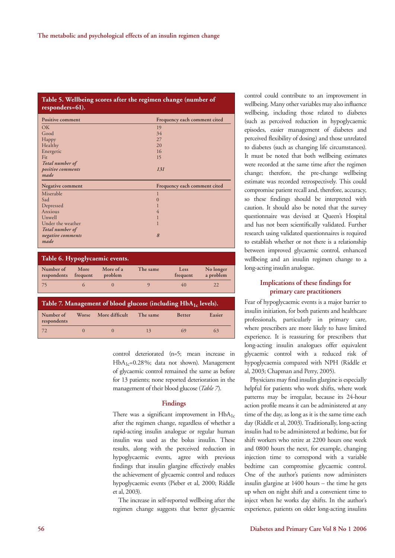## **Table 5. Wellbeing scores after the regimen change (number of responders=61).**

| <b>Positive comment</b>        |                  |                      |                | Frequency each comment cited |                        |
|--------------------------------|------------------|----------------------|----------------|------------------------------|------------------------|
| OK                             |                  |                      | 19             |                              |                        |
| Good                           |                  |                      | 34             |                              |                        |
| Happy                          |                  |                      | 27             |                              |                        |
| Healthy                        |                  |                      | 20             |                              |                        |
| Energetic                      |                  |                      | 16             |                              |                        |
| Fit                            |                  |                      | 15             |                              |                        |
| Total number of                |                  |                      |                |                              |                        |
| positive comments              |                  |                      | 131            |                              |                        |
| made                           |                  |                      |                |                              |                        |
| Negative comment               |                  |                      |                | Frequency each comment cited |                        |
| Miserable                      |                  |                      | 1              |                              |                        |
| Sad                            |                  |                      | $\overline{0}$ |                              |                        |
| Depressed                      |                  |                      |                |                              |                        |
| Anxious                        |                  |                      | 4              |                              |                        |
| Unwell                         |                  |                      | 1              |                              |                        |
| Under the weather              |                  |                      |                |                              |                        |
| Total number of                |                  |                      |                |                              |                        |
| negative comments              |                  |                      | 8              |                              |                        |
| made                           |                  |                      |                |                              |                        |
|                                |                  |                      |                |                              |                        |
| Table 6. Hypoglycaemic events. |                  |                      |                |                              |                        |
| Number of<br>respondents       | More<br>frequent | More of a<br>problem | The same       | Less<br>frequent             | No longer<br>a problem |
| 75                             | 6                | $\theta$             | 9              | 40                           | 22                     |

| Table 7. Management of blood glucose (including $HbA_{1c}$ levels). |  |                      |          |               |        |
|---------------------------------------------------------------------|--|----------------------|----------|---------------|--------|
| Number of<br>respondents                                            |  | Worse More difficult | The same | <b>Better</b> | Easier |
| 72                                                                  |  | $\left( \right)$     | 13       | 69            | 63     |

control deteriorated (n=5; mean increase in  $HbA_{1c}=0.28\%$ ; data not shown). Management of glycaemic control remained the same as before for 13 patients; none reported deterioration in the management of their blood glucose (*Table 7*).

#### **Findings**

There was a significant improvement in  $HbA_{1c}$ after the regimen change, regardless of whether a rapid-acting insulin analogue or regular human insulin was used as the bolus insulin. These results, along with the perceived reduction in hypoglycaemic events, agree with previous findings that insulin glargine effectively enables the achievement of glycaemic control and reduces hypoglycaemic events (Pieber et al, 2000; Riddle et al, 2003).

The increase in self-reported wellbeing after the regimen change suggests that better glycaemic control could contribute to an improvement in wellbeing. Many other variables may also influence wellbeing, including those related to diabetes (such as perceived reduction in hypoglycaemic episodes, easier management of diabetes and perceived flexibility of dosing) and those unrelated to diabetes (such as changing life circumstances). It must be noted that both wellbeing estimates were recorded at the same time after the regimen change; therefore, the pre-change wellbeing estimate was recorded retrospectively. This could compromise patient recall and, therefore, accuracy, so these findings should be interpreted with caution. It should also be noted that the survey questionnaire was devised at Queen's Hospital and has not been scientifically validated. Further research using validated questionnaires is required to establish whether or not there is a relationship between improved glycaemic control, enhanced wellbeing and an insulin regimen change to a long-acting insulin analogue.

## **Implications of these findings for primary care practitioners**

Fear of hypoglycaemic events is a major barrier to insulin initiation, for both patients and healthcare professionals, particularly in primary care, where prescribers are more likely to have limited experience. It is reassuring for prescribers that long-acting insulin analogues offer equivalent glycaemic control with a reduced risk of hypoglycaemia compared with NPH (Riddle et al, 2003; Chapman and Perry, 2005).

Physicians may find insulin glargine is especially helpful for patients who work shifts, where work patterns may be irregular, because its 24-hour action profile means it can be administered at any time of the day, as long as it is the same time each day (Riddle et al, 2003). Traditionally, long-acting insulin had to be administered at bedtime, but for shift workers who retire at 2200 hours one week and 0800 hours the next, for example, changing injection time to correspond with a variable bedtime can compromise glycaemic control. One of the author's patients now administers insulin glargine at 1400 hours – the time he gets up when on night shift and a convenient time to inject when he works day shifts. In the author's experience, patients on older long-acting insulins